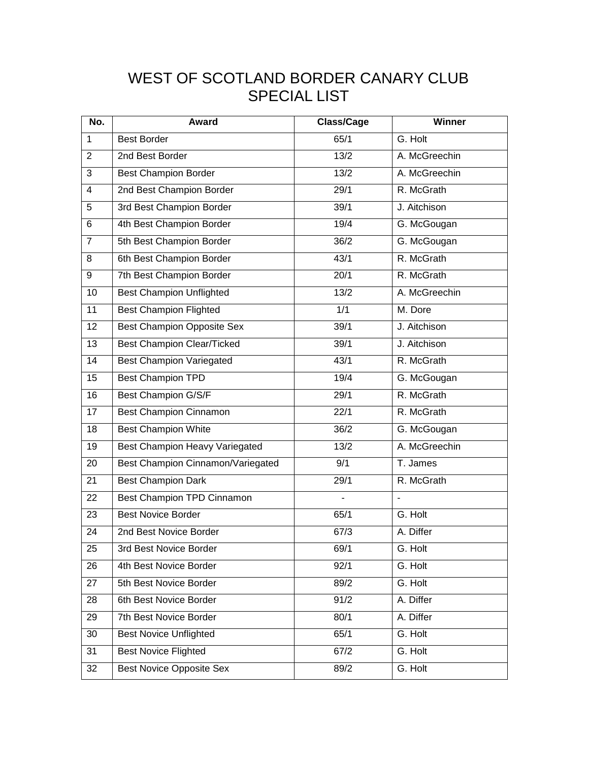## WEST OF SCOTLAND BORDER CANARY CLUB SPECIAL LIST

| No.             | Award                                 | <b>Class/Cage</b> | Winner         |
|-----------------|---------------------------------------|-------------------|----------------|
| $\mathbf{1}$    | <b>Best Border</b>                    | 65/1              | G. Holt        |
| $\overline{2}$  | 2nd Best Border                       | 13/2              | A. McGreechin  |
| 3               | <b>Best Champion Border</b>           | 13/2              | A. McGreechin  |
| $\overline{4}$  | 2nd Best Champion Border              | 29/1              | R. McGrath     |
| 5               | 3rd Best Champion Border              | 39/1              | J. Aitchison   |
| 6               | 4th Best Champion Border              | 19/4              | G. McGougan    |
| $\overline{7}$  | 5th Best Champion Border              | 36/2              | G. McGougan    |
| 8               | 6th Best Champion Border              | 43/1              | R. McGrath     |
| 9               | 7th Best Champion Border              | 20/1              | R. McGrath     |
| 10              | <b>Best Champion Unflighted</b>       | $\frac{13}{2}$    | A. McGreechin  |
| 11              | <b>Best Champion Flighted</b>         | 1/1               | M. Dore        |
| 12              | <b>Best Champion Opposite Sex</b>     | 39/1              | J. Aitchison   |
| 13              | <b>Best Champion Clear/Ticked</b>     | $\overline{39/1}$ | J. Aitchison   |
| 14              | <b>Best Champion Variegated</b>       | 43/1              | R. McGrath     |
| 15              | <b>Best Champion TPD</b>              | 19/4              | G. McGougan    |
| 16              | Best Champion G/S/F                   | 29/1              | R. McGrath     |
| 17              | <b>Best Champion Cinnamon</b>         | 22/1              | R. McGrath     |
| 18              | <b>Best Champion White</b>            | 36/2              | G. McGougan    |
| 19              | <b>Best Champion Heavy Variegated</b> | $\frac{13}{2}$    | A. McGreechin  |
| 20              | Best Champion Cinnamon/Variegated     | 9/1               | T. James       |
| 21              | <b>Best Champion Dark</b>             | 29/1              | R. McGrath     |
| 22              | Best Champion TPD Cinnamon            |                   | $\overline{a}$ |
| 23              | <b>Best Novice Border</b>             | 65/1              | G. Holt        |
| 24              | 2nd Best Novice Border                | 67/3              | A. Differ      |
| $\overline{25}$ | 3rd Best Novice Border                | 69/1              | G. Holt        |
| 26              | 4th Best Novice Border                | 92/1              | G. Holt        |
| 27              | 5th Best Novice Border                | 89/2              | G. Holt        |
| 28              | 6th Best Novice Border                | 91/2              | A. Differ      |
| 29              | 7th Best Novice Border                | 80/1              | A. Differ      |
| 30              | <b>Best Novice Unflighted</b>         | 65/1              | G. Holt        |
| 31              | <b>Best Novice Flighted</b>           | 67/2              | G. Holt        |
| 32              | <b>Best Novice Opposite Sex</b>       | 89/2              | G. Holt        |